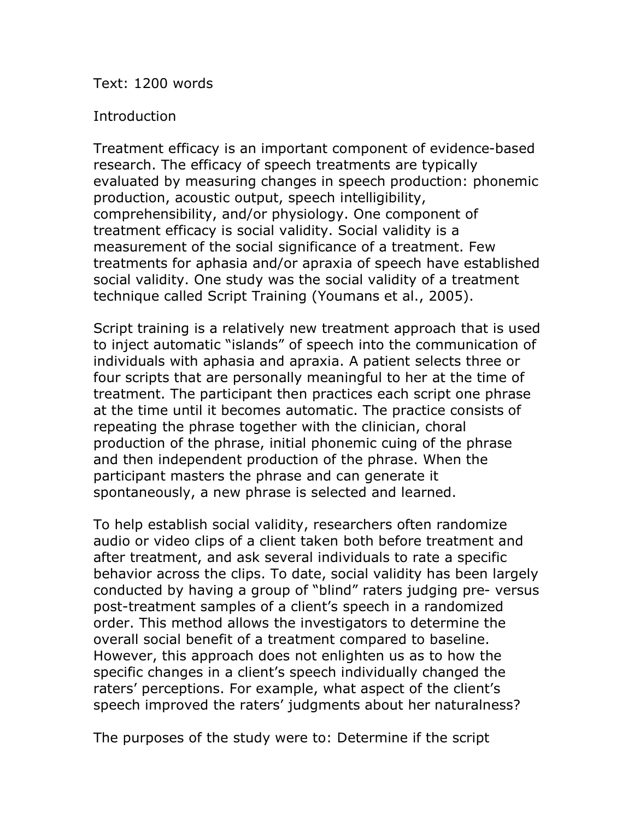Text: 1200 words

## **Introduction**

Treatment efficacy is an important component of evidence-based research. The efficacy of speech treatments are typically evaluated by measuring changes in speech production: phonemic production, acoustic output, speech intelligibility, comprehensibility, and/or physiology. One component of treatment efficacy is social validity. Social validity is a measurement of the social significance of a treatment. Few treatments for aphasia and/or apraxia of speech have established social validity. One study was the social validity of a treatment technique called Script Training (Youmans et al., 2005).

Script training is a relatively new treatment approach that is used to inject automatic "islands" of speech into the communication of individuals with aphasia and apraxia. A patient selects three or four scripts that are personally meaningful to her at the time of treatment. The participant then practices each script one phrase at the time until it becomes automatic. The practice consists of repeating the phrase together with the clinician, choral production of the phrase, initial phonemic cuing of the phrase and then independent production of the phrase. When the participant masters the phrase and can generate it spontaneously, a new phrase is selected and learned.

To help establish social validity, researchers often randomize audio or video clips of a client taken both before treatment and after treatment, and ask several individuals to rate a specific behavior across the clips. To date, social validity has been largely conducted by having a group of "blind" raters judging pre- versus post-treatment samples of a client's speech in a randomized order. This method allows the investigators to determine the overall social benefit of a treatment compared to baseline. However, this approach does not enlighten us as to how the specific changes in a client's speech individually changed the raters' perceptions. For example, what aspect of the client's speech improved the raters' judgments about her naturalness?

The purposes of the study were to: Determine if the script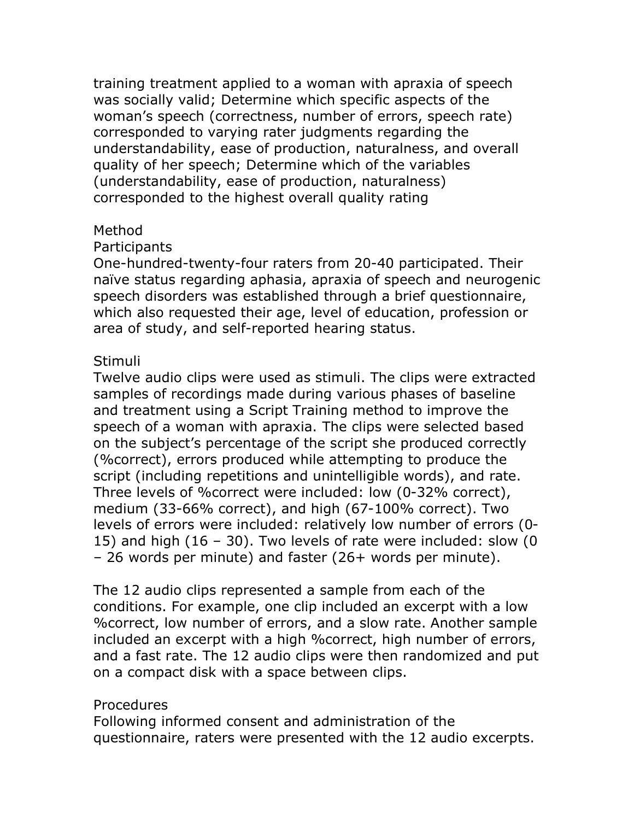training treatment applied to a woman with apraxia of speech was socially valid; Determine which specific aspects of the woman's speech (correctness, number of errors, speech rate) corresponded to varying rater judgments regarding the understandability, ease of production, naturalness, and overall quality of her speech; Determine which of the variables (understandability, ease of production, naturalness) corresponded to the highest overall quality rating

## Method

## **Participants**

One-hundred-twenty-four raters from 20-40 participated. Their naïve status regarding aphasia, apraxia of speech and neurogenic speech disorders was established through a brief questionnaire, which also requested their age, level of education, profession or area of study, and self-reported hearing status.

# Stimuli

Twelve audio clips were used as stimuli. The clips were extracted samples of recordings made during various phases of baseline and treatment using a Script Training method to improve the speech of a woman with apraxia. The clips were selected based on the subject's percentage of the script she produced correctly (%correct), errors produced while attempting to produce the script (including repetitions and unintelligible words), and rate. Three levels of %correct were included: low (0-32% correct), medium (33-66% correct), and high (67-100% correct). Two levels of errors were included: relatively low number of errors (0- 15) and high (16 – 30). Two levels of rate were included: slow (0 – 26 words per minute) and faster (26+ words per minute).

The 12 audio clips represented a sample from each of the conditions. For example, one clip included an excerpt with a low %correct, low number of errors, and a slow rate. Another sample included an excerpt with a high %correct, high number of errors, and a fast rate. The 12 audio clips were then randomized and put on a compact disk with a space between clips.

# Procedures

Following informed consent and administration of the questionnaire, raters were presented with the 12 audio excerpts.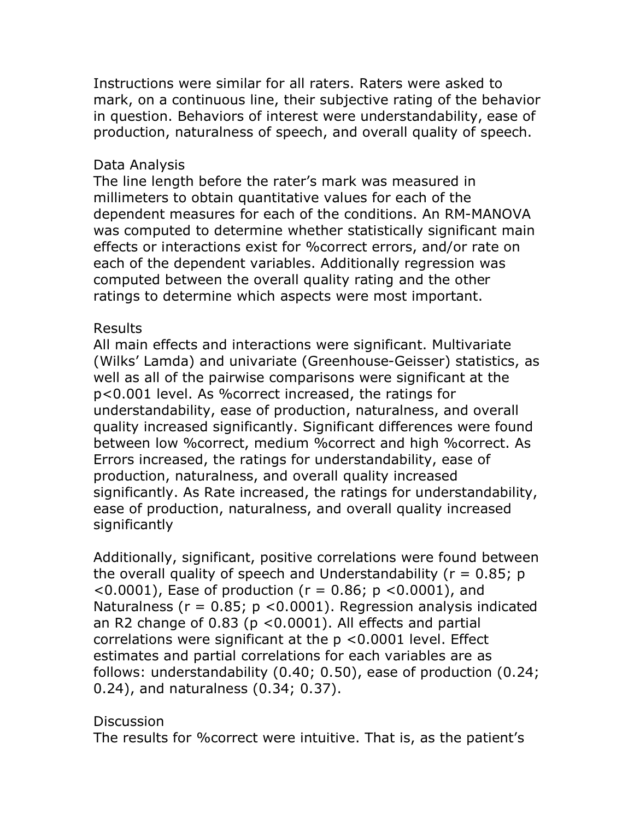Instructions were similar for all raters. Raters were asked to mark, on a continuous line, their subjective rating of the behavior in question. Behaviors of interest were understandability, ease of production, naturalness of speech, and overall quality of speech.

## Data Analysis

The line length before the rater's mark was measured in millimeters to obtain quantitative values for each of the dependent measures for each of the conditions. An RM-MANOVA was computed to determine whether statistically significant main effects or interactions exist for %correct errors, and/or rate on each of the dependent variables. Additionally regression was computed between the overall quality rating and the other ratings to determine which aspects were most important.

## Results

All main effects and interactions were significant. Multivariate (Wilks' Lamda) and univariate (Greenhouse-Geisser) statistics, as well as all of the pairwise comparisons were significant at the p<0.001 level. As %correct increased, the ratings for understandability, ease of production, naturalness, and overall quality increased significantly. Significant differences were found between low %correct, medium %correct and high %correct. As Errors increased, the ratings for understandability, ease of production, naturalness, and overall quality increased significantly. As Rate increased, the ratings for understandability, ease of production, naturalness, and overall quality increased significantly

Additionally, significant, positive correlations were found between the overall quality of speech and Understandability ( $r = 0.85$ ; p  $(0.0001)$ , Ease of production ( $r = 0.86$ ;  $p < 0.0001$ ), and Naturalness ( $r = 0.85$ ;  $p < 0.0001$ ). Regression analysis indicated an R2 change of 0.83 (p <0.0001). All effects and partial correlations were significant at the p <0.0001 level. Effect estimates and partial correlations for each variables are as follows: understandability (0.40; 0.50), ease of production (0.24; 0.24), and naturalness (0.34; 0.37).

## **Discussion**

The results for %correct were intuitive. That is, as the patient's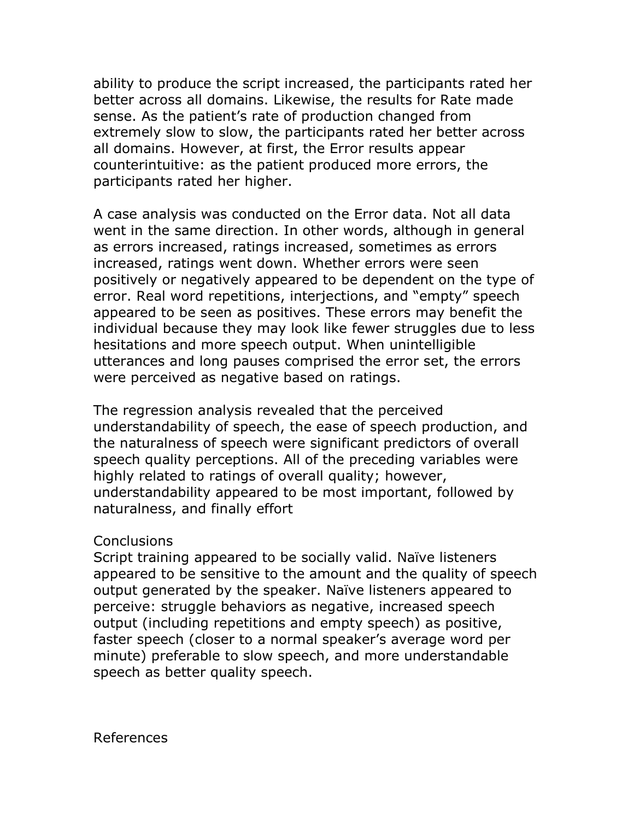ability to produce the script increased, the participants rated her better across all domains. Likewise, the results for Rate made sense. As the patient's rate of production changed from extremely slow to slow, the participants rated her better across all domains. However, at first, the Error results appear counterintuitive: as the patient produced more errors, the participants rated her higher.

A case analysis was conducted on the Error data. Not all data went in the same direction. In other words, although in general as errors increased, ratings increased, sometimes as errors increased, ratings went down. Whether errors were seen positively or negatively appeared to be dependent on the type of error. Real word repetitions, interjections, and "empty" speech appeared to be seen as positives. These errors may benefit the individual because they may look like fewer struggles due to less hesitations and more speech output. When unintelligible utterances and long pauses comprised the error set, the errors were perceived as negative based on ratings.

The regression analysis revealed that the perceived understandability of speech, the ease of speech production, and the naturalness of speech were significant predictors of overall speech quality perceptions. All of the preceding variables were highly related to ratings of overall quality; however, understandability appeared to be most important, followed by naturalness, and finally effort

#### **Conclusions**

Script training appeared to be socially valid. Naïve listeners appeared to be sensitive to the amount and the quality of speech output generated by the speaker. Naïve listeners appeared to perceive: struggle behaviors as negative, increased speech output (including repetitions and empty speech) as positive, faster speech (closer to a normal speaker's average word per minute) preferable to slow speech, and more understandable speech as better quality speech.

References